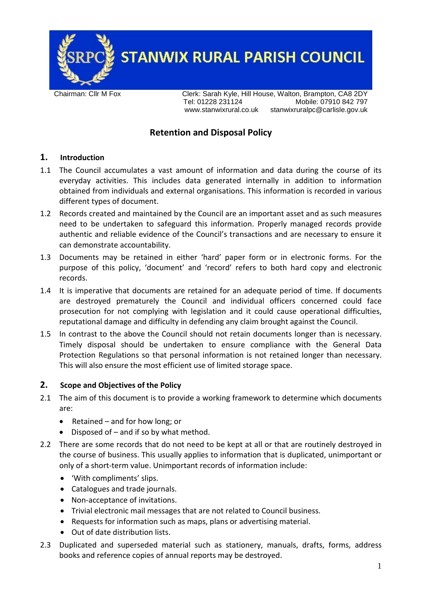

**STANWIX RURAL PARISH COUNCIL** 

Chairman: Cllr M Fox Clerk: Sarah Kyle, Hill House, Walton, Brampton, CA8 2DY<br>Tel: 01228 231124 Mobile: 07910 842 797 Mobile: 07910 842 797 www.stanwixrural.co.uk stanwixruralpc@carlisle.gov.uk

# **Retention and Disposal Policy**

#### **1. Introduction**

- 1.1 The Council accumulates a vast amount of information and data during the course of its everyday activities. This includes data generated internally in addition to information obtained from individuals and external organisations. This information is recorded in various different types of document.
- 1.2 Records created and maintained by the Council are an important asset and as such measures need to be undertaken to safeguard this information. Properly managed records provide authentic and reliable evidence of the Council's transactions and are necessary to ensure it can demonstrate accountability.
- 1.3 Documents may be retained in either 'hard' paper form or in electronic forms. For the purpose of this policy, 'document' and 'record' refers to both hard copy and electronic records.
- 1.4 It is imperative that documents are retained for an adequate period of time. If documents are destroyed prematurely the Council and individual officers concerned could face prosecution for not complying with legislation and it could cause operational difficulties, reputational damage and difficulty in defending any claim brought against the Council.
- 1.5 In contrast to the above the Council should not retain documents longer than is necessary. Timely disposal should be undertaken to ensure compliance with the General Data Protection Regulations so that personal information is not retained longer than necessary. This will also ensure the most efficient use of limited storage space.

#### **2. Scope and Objectives of the Policy**

- 2.1 The aim of this document is to provide a working framework to determine which documents are:
	- Retained and for how long; or
	- Disposed of  $-$  and if so by what method.
- 2.2 There are some records that do not need to be kept at all or that are routinely destroyed in the course of business. This usually applies to information that is duplicated, unimportant or only of a short-term value. Unimportant records of information include:
	- 'With compliments' slips.
	- Catalogues and trade journals.
	- Non-acceptance of invitations.
	- Trivial electronic mail messages that are not related to Council business.
	- Requests for information such as maps, plans or advertising material.
	- Out of date distribution lists.
- 2.3 Duplicated and superseded material such as stationery, manuals, drafts, forms, address books and reference copies of annual reports may be destroyed.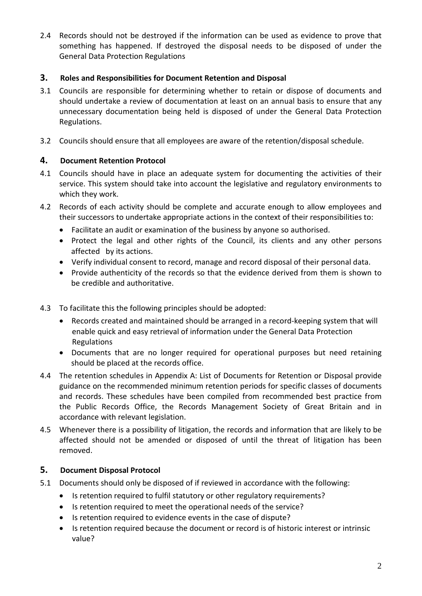2.4 Records should not be destroyed if the information can be used as evidence to prove that something has happened. If destroyed the disposal needs to be disposed of under the General Data Protection Regulations

#### **3. Roles and Responsibilities for Document Retention and Disposal**

- 3.1 Councils are responsible for determining whether to retain or dispose of documents and should undertake a review of documentation at least on an annual basis to ensure that any unnecessary documentation being held is disposed of under the General Data Protection Regulations.
- 3.2 Councils should ensure that all employees are aware of the retention/disposal schedule.

#### **4. Document Retention Protocol**

- 4.1 Councils should have in place an adequate system for documenting the activities of their service. This system should take into account the legislative and regulatory environments to which they work.
- 4.2 Records of each activity should be complete and accurate enough to allow employees and their successors to undertake appropriate actions in the context of their responsibilities to:
	- Facilitate an audit or examination of the business by anyone so authorised.
	- Protect the legal and other rights of the Council, its clients and any other persons affected by its actions.
	- Verify individual consent to record, manage and record disposal of their personal data.
	- Provide authenticity of the records so that the evidence derived from them is shown to be credible and authoritative.
- 4.3 To facilitate this the following principles should be adopted:
	- Records created and maintained should be arranged in a record-keeping system that will enable quick and easy retrieval of information under the General Data Protection Regulations
	- Documents that are no longer required for operational purposes but need retaining should be placed at the records office.
- 4.4 The retention schedules in Appendix A: List of Documents for Retention or Disposal provide guidance on the recommended minimum retention periods for specific classes of documents and records. These schedules have been compiled from recommended best practice from the Public Records Office, the Records Management Society of Great Britain and in accordance with relevant legislation.
- 4.5 Whenever there is a possibility of litigation, the records and information that are likely to be affected should not be amended or disposed of until the threat of litigation has been removed.

## **5. Document Disposal Protocol**

- 5.1 Documents should only be disposed of if reviewed in accordance with the following:
	- Is retention required to fulfil statutory or other regulatory requirements?
	- Is retention required to meet the operational needs of the service?
	- Is retention required to evidence events in the case of dispute?
	- Is retention required because the document or record is of historic interest or intrinsic value?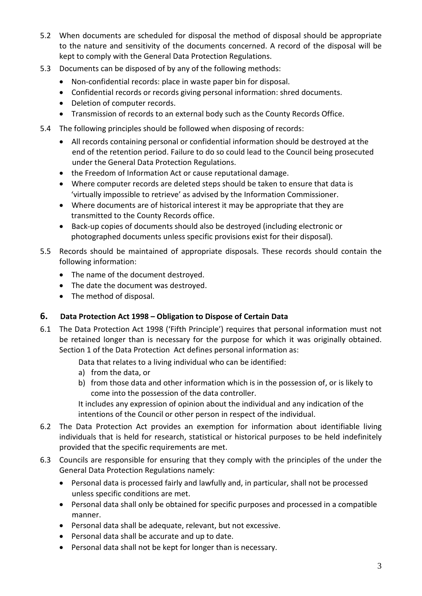- 5.2 When documents are scheduled for disposal the method of disposal should be appropriate to the nature and sensitivity of the documents concerned. A record of the disposal will be kept to comply with the General Data Protection Regulations.
- 5.3 Documents can be disposed of by any of the following methods:
	- Non-confidential records: place in waste paper bin for disposal.
	- Confidential records or records giving personal information: shred documents.
	- Deletion of computer records.
	- Transmission of records to an external body such as the County Records Office.
- 5.4 The following principles should be followed when disposing of records:
	- All records containing personal or confidential information should be destroyed at the end of the retention period. Failure to do so could lead to the Council being prosecuted under the General Data Protection Regulations.
	- the Freedom of Information Act or cause reputational damage.
	- Where computer records are deleted steps should be taken to ensure that data is 'virtually impossible to retrieve' as advised by the Information Commissioner.
	- Where documents are of historical interest it may be appropriate that they are transmitted to the County Records office.
	- Back-up copies of documents should also be destroyed (including electronic or photographed documents unless specific provisions exist for their disposal).
- 5.5 Records should be maintained of appropriate disposals. These records should contain the following information:
	- The name of the document destroyed.
	- The date the document was destroyed.
	- The method of disposal.

## **6. Data Protection Act 1998 – Obligation to Dispose of Certain Data**

6.1 The Data Protection Act 1998 ('Fifth Principle') requires that personal information must not be retained longer than is necessary for the purpose for which it was originally obtained. Section 1 of the Data Protection Act defines personal information as:

Data that relates to a living individual who can be identified:

- a) from the data, or
- b) from those data and other information which is in the possession of, or is likely to come into the possession of the data controller.

It includes any expression of opinion about the individual and any indication of the intentions of the Council or other person in respect of the individual.

- 6.2 The Data Protection Act provides an exemption for information about identifiable living individuals that is held for research, statistical or historical purposes to be held indefinitely provided that the specific requirements are met.
- 6.3 Councils are responsible for ensuring that they comply with the principles of the under the General Data Protection Regulations namely:
	- Personal data is processed fairly and lawfully and, in particular, shall not be processed unless specific conditions are met.
	- Personal data shall only be obtained for specific purposes and processed in a compatible manner.
	- Personal data shall be adequate, relevant, but not excessive.
	- Personal data shall be accurate and up to date.
	- Personal data shall not be kept for longer than is necessary.